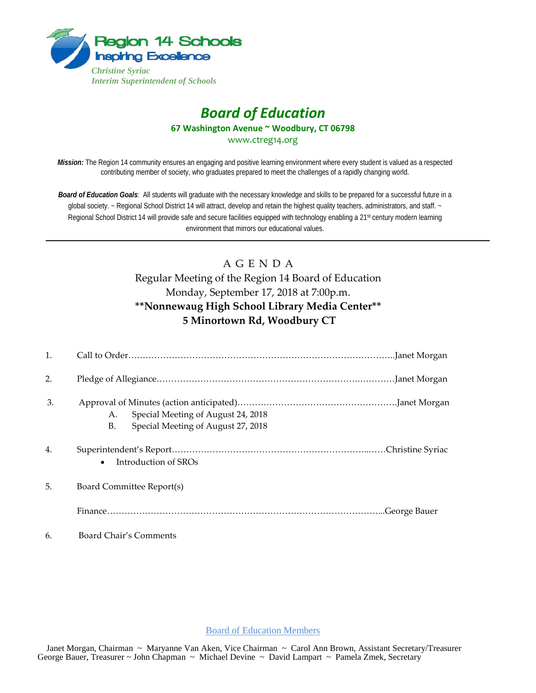

# *Board of Education* **67 Washington Avenue ~ Woodbury, CT 06798** www.ctreg14.org

*Mission:* The Region 14 community ensures an engaging and positive learning environment where every student is valued as a respected contributing member of society, who graduates prepared to meet the challenges of a rapidly changing world.

*Board of Education Goals:* All students will graduate with the necessary knowledge and skills to be prepared for a successful future in a global society. ~ Regional School District 14 will attract, develop and retain the highest quality teachers, administrators, and staff. ~ Regional School District 14 will provide safe and secure facilities equipped with technology enabling a 21<sup>st</sup> century modern learning environment that mirrors our educational values.

## A G E N D A Regular Meeting of the Region 14 Board of Education Monday, September 17, 2018 at 7:00p.m. **\*\*Nonnewaug High School Library Media Center\*\* 5 Minortown Rd, Woodbury CT**

| 1. |                                                                                      |  |
|----|--------------------------------------------------------------------------------------|--|
| 2. |                                                                                      |  |
| 3. | Special Meeting of August 24, 2018<br>A.<br>Special Meeting of August 27, 2018<br>В. |  |
| 4. | Introduction of SROs<br>$\bullet$                                                    |  |
| 5. | Board Committee Report(s)                                                            |  |
|    |                                                                                      |  |
| 6. | Board Chair's Comments                                                               |  |

Board of Education Members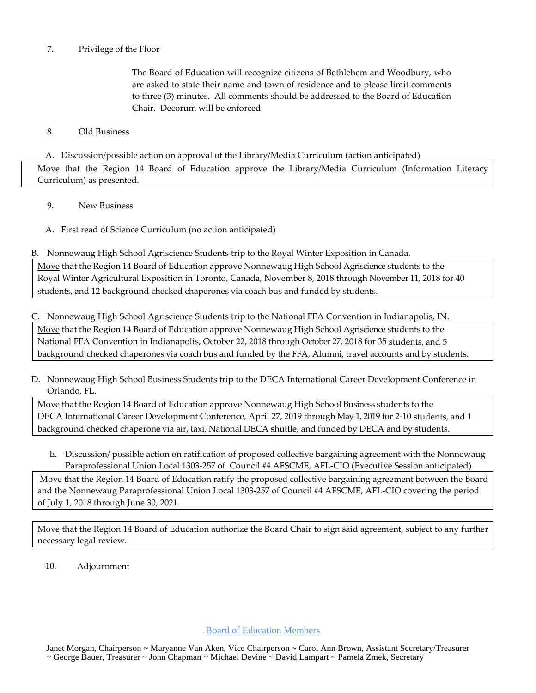### 7. Privilege of the Floor

The Board of Education will recognize citizens of Bethlehem and Woodbury, who are asked to state their name and town of residence and to please limit comments to three (3) minutes. All comments should be addressed to the Board of Education Chair. Decorum will be enforced.

#### 8. Old Business

#### A. Discussion/possible action on approval of the Library/Media Curriculum (action anticipated)

Move that the Region 14 Board of Education approve the Library/Media Curriculum (Information Literacy Curriculum) as presented.

- 9. New Business
- A. First read of Science Curriculum (no action anticipated)

B. Nonnewaug High School Agriscience Students trip to the Royal Winter Exposition in Canada. Move that the Region 14 Board of Education approve Nonnewaug High School Agriscience students to the Royal Winter Agricultural Exposition in Toronto, Canada, November 8, 2018 through November 11, 2018 for 40 students, and 12 background checked chaperones via coach bus and funded by students.

C. Nonnewaug High School Agriscience Students trip to the National FFA Convention in Indianapolis, IN. Move that the Region 14 Board of Education approve Nonnewaug High School Agriscience students to the National FFA Convention in Indianapolis, October 22, 2018 through October 27, 2018 for 35 students, and 5 background checked chaperones via coach bus and funded by the FFA, Alumni, travel accounts and by students.

D. Nonnewaug High School Business Students trip to the DECA International Career Development Conference in Orlando, FL.

Move that the Region 14 Board of Education approve Nonnewaug High School Business students to the DECA International Career Development Conference, April 27, 2019 through May 1, 2019 for 2-10 students, and 1 background checked chaperone via air, taxi, National DECA shuttle, and funded by DECA and by students.

E. Discussion/ possible action on ratification of proposed collective bargaining agreement with the Nonnewaug Paraprofessional Union Local 1303-257 of Council #4 AFSCME, AFL-CIO (Executive Session anticipated)

Move that the Region 14 Board of Education ratify the proposed collective bargaining agreement between the Board and the Nonnewaug Paraprofessional Union Local 1303-257 of Council #4 AFSCME, AFL-CIO covering the period of July 1, 2018 through June 30, 2021.

Move that the Region 14 Board of Education authorize the Board Chair to sign said agreement, subject to any further necessary legal review.

10. Adjournment